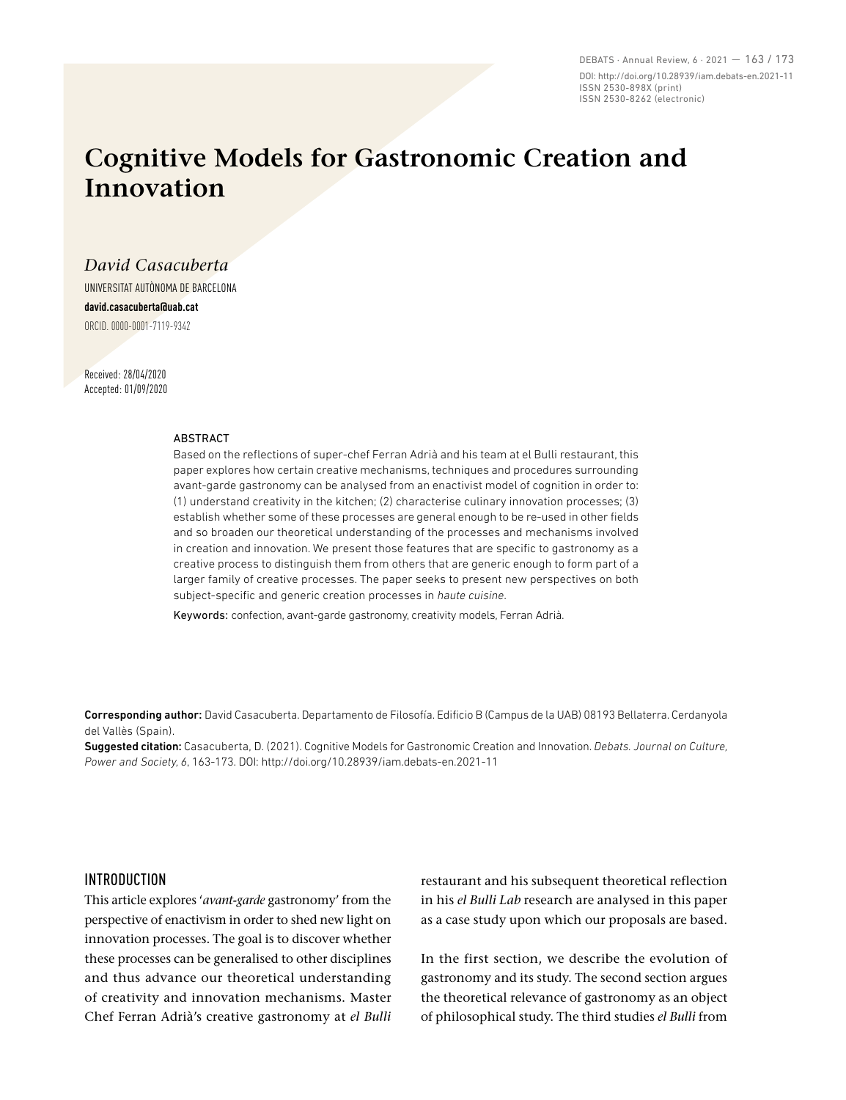DEBATS · Annual Review, 6 · 2021 — 163 / 173 DOI: http://doi.org/10.28939/iam.debats-en.2021-11 ISSN 2530-898X (print) ISSN 2530-8262 (electronic)

# **Cognitive Models for Gastronomic Creation and Innovation**

*David Casacuberta* 

UNIVERSITAT AUTÒNOMA DE BARCELONA **david.casacuberta@uab.cat** ORCID. 0000-0001-7119-9342

Received: 28/04/2020 Accepted: 01/09/2020

#### ABSTRACT

Based on the reflections of super-chef Ferran Adrià and his team at el Bulli restaurant, this paper explores how certain creative mechanisms, techniques and procedures surrounding avant-garde gastronomy can be analysed from an enactivist model of cognition in order to: (1) understand creativity in the kitchen; (2) characterise culinary innovation processes; (3) establish whether some of these processes are general enough to be re-used in other fields and so broaden our theoretical understanding of the processes and mechanisms involved in creation and innovation. We present those features that are specific to gastronomy as a creative process to distinguish them from others that are generic enough to form part of a larger family of creative processes. The paper seeks to present new perspectives on both subject-specific and generic creation processes in *haute cuisine*.

Keywords: confection, avant-garde gastronomy, creativity models, Ferran Adrià.

Corresponding author: David Casacuberta. Departamento de Filosofía. Edificio B (Campus de la UAB) 08193 Bellaterra. Cerdanyola del Vallès (Spain).

Suggested citation: Casacuberta, D. (2021). Cognitive Models for Gastronomic Creation and Innovation. *Debats. Journal on Culture, Power and Society, 6*, 163-173. DOI: http://doi.org/10.28939/iam.debats-en.2021-11

### INTRODUCTION

This article explores '*avant-garde* gastronomy' from the perspective of enactivism in order to shed new light on innovation processes. The goal is to discover whether these processes can be generalised to other disciplines and thus advance our theoretical understanding of creativity and innovation mechanisms. Master Chef Ferran Adrià's creative gastronomy at *el Bulli* restaurant and his subsequent theoretical reflection in his *el Bulli Lab* research are analysed in this paper as a case study upon which our proposals are based.

In the first section, we describe the evolution of gastronomy and its study. The second section argues the theoretical relevance of gastronomy as an object of philosophical study. The third studies *el Bulli* from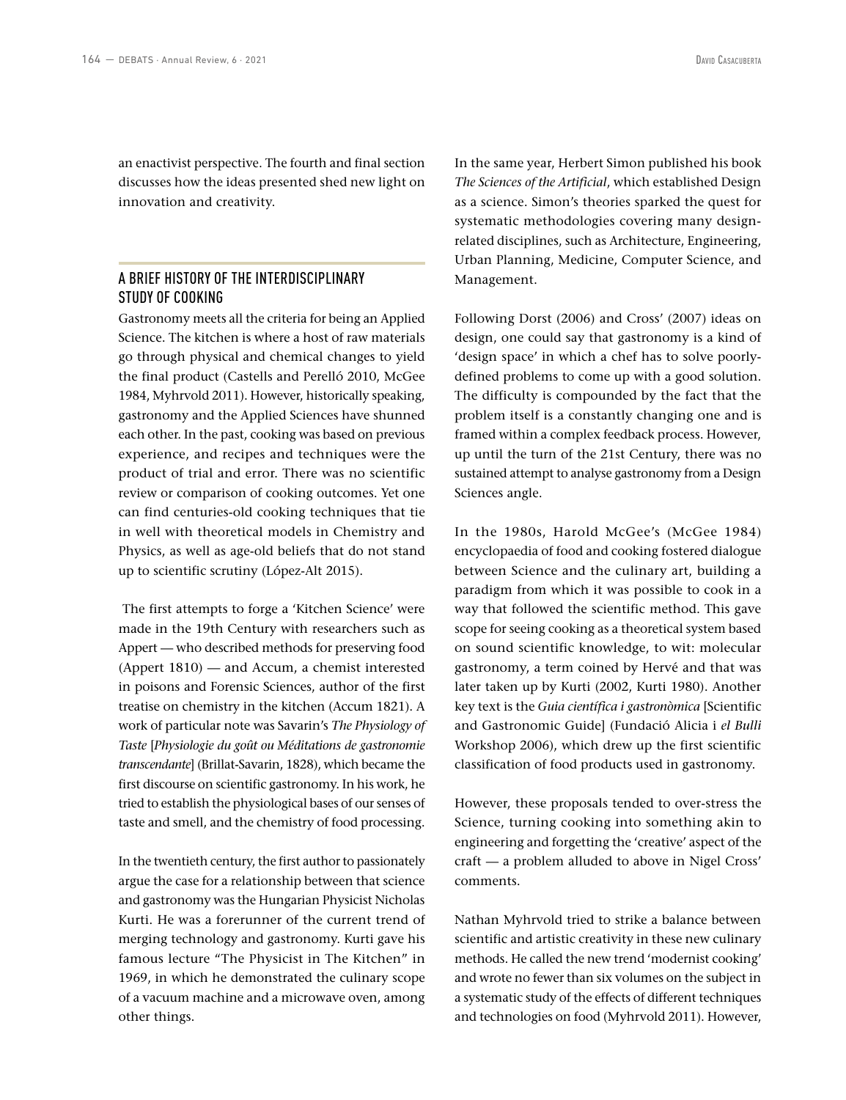an enactivist perspective. The fourth and final section discusses how the ideas presented shed new light on innovation and creativity.

# A BRIEF HISTORY OF THE INTERDISCIPLINARY STUDY OF COOKING

Gastronomy meets all the criteria for being an Applied Science. The kitchen is where a host of raw materials go through physical and chemical changes to yield the final product (Castells and Perelló 2010, McGee 1984, Myhrvold 2011). However, historically speaking, gastronomy and the Applied Sciences have shunned each other. In the past, cooking was based on previous experience, and recipes and techniques were the product of trial and error. There was no scientific review or comparison of cooking outcomes. Yet one can find centuries-old cooking techniques that tie in well with theoretical models in Chemistry and Physics, as well as age-old beliefs that do not stand up to scientific scrutiny (López-Alt 2015).

 The first attempts to forge a 'Kitchen Science' were made in the 19th Century with researchers such as Appert — who described methods for preserving food (Appert 1810) — and Accum, a chemist interested in poisons and Forensic Sciences, author of the first treatise on chemistry in the kitchen (Accum 1821). A work of particular note was Savarin's *The Physiology of Taste* [*Physiologie du goût ou Méditations de gastronomie transcendante*] (Brillat-Savarin, 1828), which became the first discourse on scientific gastronomy. In his work, he tried to establish the physiological bases of our senses of taste and smell, and the chemistry of food processing.

In the twentieth century, the first author to passionately argue the case for a relationship between that science and gastronomy was the Hungarian Physicist Nicholas Kurti. He was a forerunner of the current trend of merging technology and gastronomy. Kurti gave his famous lecture "The Physicist in The Kitchen" in 1969, in which he demonstrated the culinary scope of a vacuum machine and a microwave oven, among other things.

In the same year, Herbert Simon published his book *The Sciences of the Artificial*, which established Design as a science. Simon's theories sparked the quest for systematic methodologies covering many designrelated disciplines, such as Architecture, Engineering, Urban Planning, Medicine, Computer Science, and Management.

Following Dorst (2006) and Cross' (2007) ideas on design, one could say that gastronomy is a kind of 'design space' in which a chef has to solve poorlydefined problems to come up with a good solution. The difficulty is compounded by the fact that the problem itself is a constantly changing one and is framed within a complex feedback process. However, up until the turn of the 21st Century, there was no sustained attempt to analyse gastronomy from a Design Sciences angle.

In the 1980s, Harold McGee's (McGee 1984) encyclopaedia of food and cooking fostered dialogue between Science and the culinary art, building a paradigm from which it was possible to cook in a way that followed the scientific method. This gave scope for seeing cooking as a theoretical system based on sound scientific knowledge, to wit: molecular gastronomy, a term coined by Hervé and that was later taken up by Kurti (2002, Kurti 1980). Another key text is the *Guia científica i gastronòmica* [Scientific and Gastronomic Guide] (Fundació Alicia i *el Bulli*  Workshop 2006), which drew up the first scientific classification of food products used in gastronomy.

However, these proposals tended to over-stress the Science, turning cooking into something akin to engineering and forgetting the 'creative' aspect of the craft — a problem alluded to above in Nigel Cross' comments.

Nathan Myhrvold tried to strike a balance between scientific and artistic creativity in these new culinary methods. He called the new trend 'modernist cooking' and wrote no fewer than six volumes on the subject in a systematic study of the effects of different techniques and technologies on food (Myhrvold 2011). However,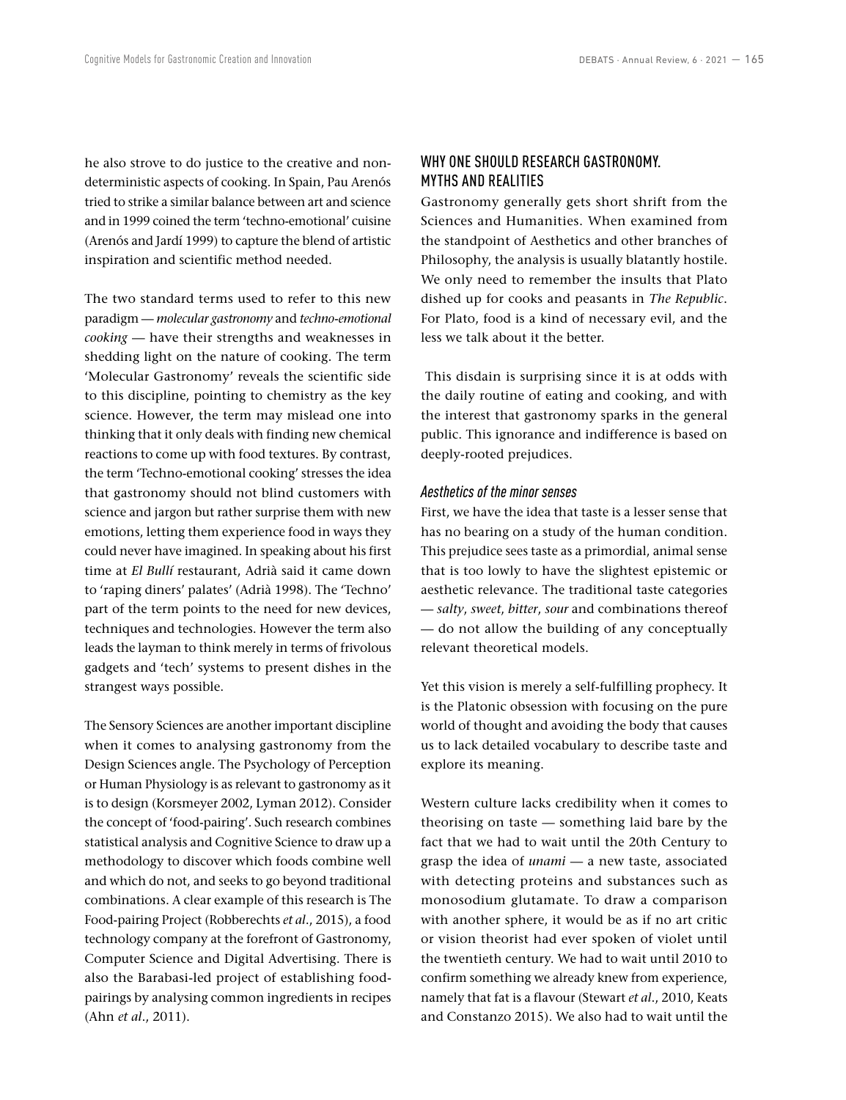he also strove to do justice to the creative and nondeterministic aspects of cooking. In Spain, Pau Arenós tried to strike a similar balance between art and science and in 1999 coined the term 'techno-emotional' cuisine (Arenós and Jardí 1999) to capture the blend of artistic inspiration and scientific method needed.

The two standard terms used to refer to this new paradigm — *molecular gastronomy* and *techno-emotional cooking* — have their strengths and weaknesses in shedding light on the nature of cooking. The term 'Molecular Gastronomy' reveals the scientific side to this discipline, pointing to chemistry as the key science. However, the term may mislead one into thinking that it only deals with finding new chemical reactions to come up with food textures. By contrast, the term 'Techno-emotional cooking' stresses the idea that gastronomy should not blind customers with science and jargon but rather surprise them with new emotions, letting them experience food in ways they could never have imagined. In speaking about his first time at *El Bullí* restaurant, Adrià said it came down to 'raping diners' palates' (Adrià 1998). The 'Techno' part of the term points to the need for new devices, techniques and technologies. However the term also leads the layman to think merely in terms of frivolous gadgets and 'tech' systems to present dishes in the strangest ways possible.

The Sensory Sciences are another important discipline when it comes to analysing gastronomy from the Design Sciences angle. The Psychology of Perception or Human Physiology is as relevant to gastronomy as it is to design (Korsmeyer 2002, Lyman 2012). Consider the concept of 'food-pairing'. Such research combines statistical analysis and Cognitive Science to draw up a methodology to discover which foods combine well and which do not, and seeks to go beyond traditional combinations. A clear example of this research is The Food-pairing Project (Robberechts *et al*., 2015), a food technology company at the forefront of Gastronomy, Computer Science and Digital Advertising. There is also the Barabasi-led project of establishing foodpairings by analysing common ingredients in recipes (Ahn *et al*., 2011).

# WHY ONE SHOULD RESEARCH GASTRONOMY. MYTHS AND REALITIES

Gastronomy generally gets short shrift from the Sciences and Humanities. When examined from the standpoint of Aesthetics and other branches of Philosophy, the analysis is usually blatantly hostile. We only need to remember the insults that Plato dished up for cooks and peasants in *The Republic*. For Plato, food is a kind of necessary evil, and the less we talk about it the better.

 This disdain is surprising since it is at odds with the daily routine of eating and cooking, and with the interest that gastronomy sparks in the general public. This ignorance and indifference is based on deeply-rooted prejudices.

### *Aesthetics of the minor senses*

First, we have the idea that taste is a lesser sense that has no bearing on a study of the human condition. This prejudice sees taste as a primordial, animal sense that is too lowly to have the slightest epistemic or aesthetic relevance. The traditional taste categories — *salty*, *sweet*, *bitter*, *sour* and combinations thereof — do not allow the building of any conceptually relevant theoretical models.

Yet this vision is merely a self-fulfilling prophecy. It is the Platonic obsession with focusing on the pure world of thought and avoiding the body that causes us to lack detailed vocabulary to describe taste and explore its meaning.

Western culture lacks credibility when it comes to theorising on taste — something laid bare by the fact that we had to wait until the 20th Century to grasp the idea of *unami* — a new taste, associated with detecting proteins and substances such as monosodium glutamate. To draw a comparison with another sphere, it would be as if no art critic or vision theorist had ever spoken of violet until the twentieth century. We had to wait until 2010 to confirm something we already knew from experience, namely that fat is a flavour (Stewart *et al*., 2010, Keats and Constanzo 2015). We also had to wait until the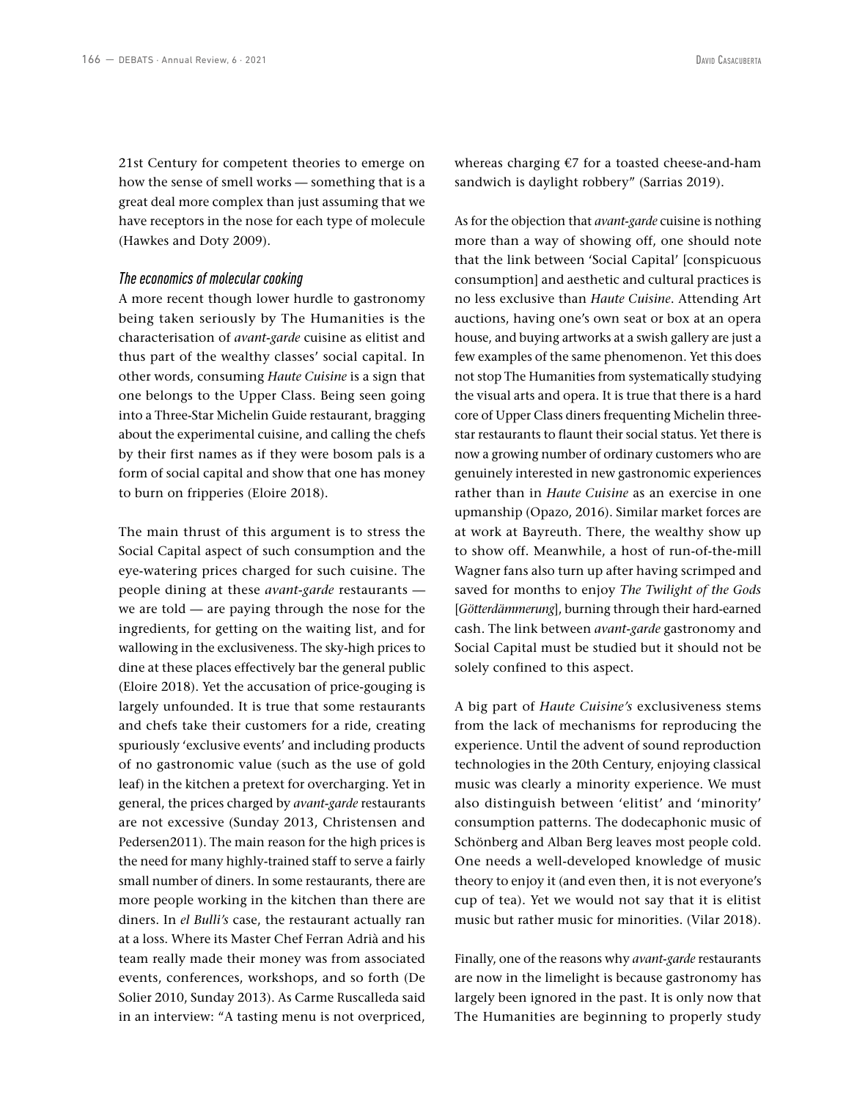21st Century for competent theories to emerge on how the sense of smell works — something that is a great deal more complex than just assuming that we have receptors in the nose for each type of molecule (Hawkes and Doty 2009).

### *The economics of molecular cooking*

A more recent though lower hurdle to gastronomy being taken seriously by The Humanities is the characterisation of *avant-garde* cuisine as elitist and thus part of the wealthy classes' social capital. In other words, consuming *Haute Cuisine* is a sign that one belongs to the Upper Class. Being seen going into a Three-Star Michelin Guide restaurant, bragging about the experimental cuisine, and calling the chefs by their first names as if they were bosom pals is a form of social capital and show that one has money to burn on fripperies (Eloire 2018).

The main thrust of this argument is to stress the Social Capital aspect of such consumption and the eye-watering prices charged for such cuisine. The people dining at these *avant-garde* restaurants we are told — are paying through the nose for the ingredients, for getting on the waiting list, and for wallowing in the exclusiveness. The sky-high prices to dine at these places effectively bar the general public (Eloire 2018). Yet the accusation of price-gouging is largely unfounded. It is true that some restaurants and chefs take their customers for a ride, creating spuriously 'exclusive events' and including products of no gastronomic value (such as the use of gold leaf) in the kitchen a pretext for overcharging. Yet in general, the prices charged by *avant-garde* restaurants are not excessive (Sunday 2013, Christensen and Pedersen2011). The main reason for the high prices is the need for many highly-trained staff to serve a fairly small number of diners. In some restaurants, there are more people working in the kitchen than there are diners. In *el Bulli's* case, the restaurant actually ran at a loss. Where its Master Chef Ferran Adrià and his team really made their money was from associated events, conferences, workshops, and so forth (De Solier 2010, Sunday 2013). As Carme Ruscalleda said in an interview: "A tasting menu is not overpriced,

whereas charging €7 for a toasted cheese-and-ham sandwich is daylight robbery" (Sarrias 2019).

As for the objection that *avant-garde* cuisine is nothing more than a way of showing off, one should note that the link between 'Social Capital' [conspicuous consumption] and aesthetic and cultural practices is no less exclusive than *Haute Cuisine*. Attending Art auctions, having one's own seat or box at an opera house, and buying artworks at a swish gallery are just a few examples of the same phenomenon. Yet this does not stop The Humanities from systematically studying the visual arts and opera. It is true that there is a hard core of Upper Class diners frequenting Michelin threestar restaurants to flaunt their social status. Yet there is now a growing number of ordinary customers who are genuinely interested in new gastronomic experiences rather than in *Haute Cuisine* as an exercise in one upmanship (Opazo, 2016). Similar market forces are at work at Bayreuth. There, the wealthy show up to show off. Meanwhile, a host of run-of-the-mill Wagner fans also turn up after having scrimped and saved for months to enjoy *The Twilight of the Gods* [*Götterdämmerung*], burning through their hard-earned cash. The link between *avant-garde* gastronomy and Social Capital must be studied but it should not be solely confined to this aspect.

A big part of *Haute Cuisine's* exclusiveness stems from the lack of mechanisms for reproducing the experience. Until the advent of sound reproduction technologies in the 20th Century, enjoying classical music was clearly a minority experience. We must also distinguish between 'elitist' and 'minority' consumption patterns. The dodecaphonic music of Schönberg and Alban Berg leaves most people cold. One needs a well-developed knowledge of music theory to enjoy it (and even then, it is not everyone's cup of tea). Yet we would not say that it is elitist music but rather music for minorities. (Vilar 2018).

Finally, one of the reasons why *avant-garde* restaurants are now in the limelight is because gastronomy has largely been ignored in the past. It is only now that The Humanities are beginning to properly study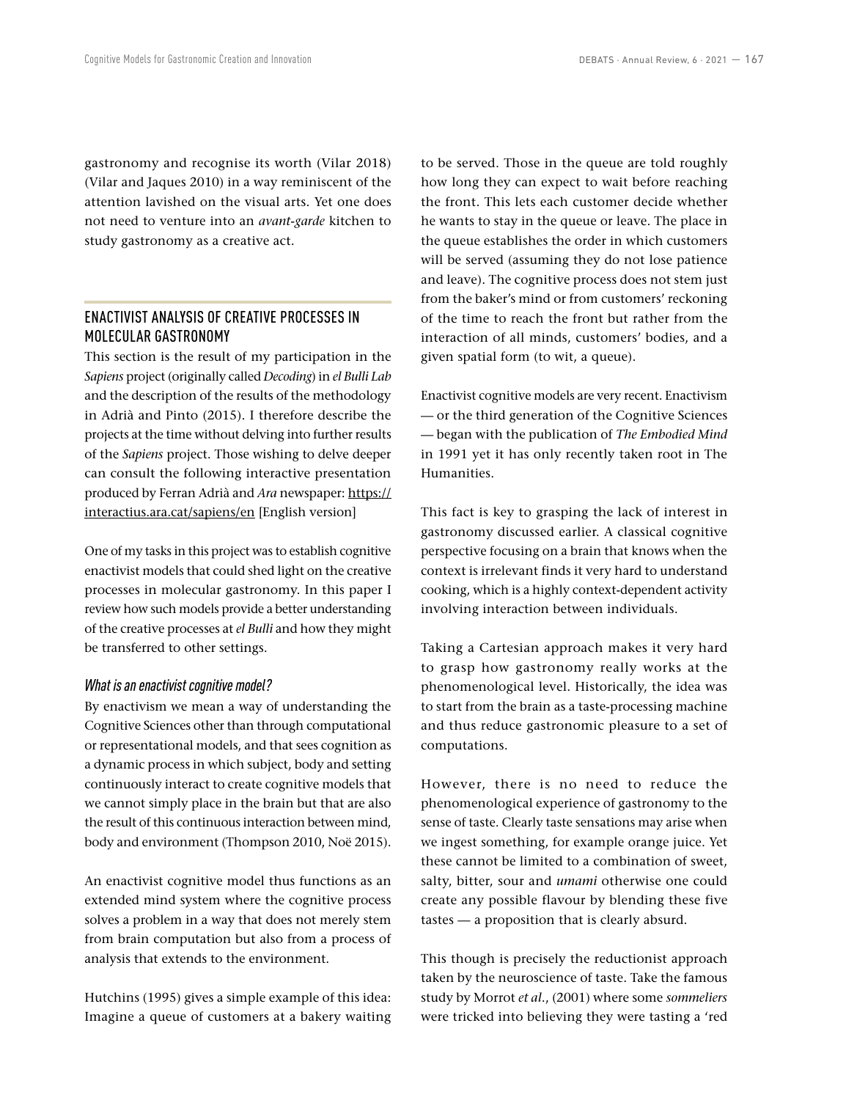gastronomy and recognise its worth (Vilar 2018) (Vilar and Jaques 2010) in a way reminiscent of the attention lavished on the visual arts. Yet one does not need to venture into an *avant-garde* kitchen to study gastronomy as a creative act.

# ENACTIVIST ANALYSIS OF CREATIVE PROCESSES IN MOLECULAR GASTRONOMY

This section is the result of my participation in the *Sapiens* project (originally called *Decoding*) in *el Bulli Lab* and the description of the results of the methodology in Adrià and Pinto (2015). I therefore describe the projects at the time without delving into further results of the *Sapiens* project. Those wishing to delve deeper can consult the following interactive presentation produced by Ferran Adrià and *Ara* newspaper: [https://](https://interactius.ara.cat/sapiens/en) [interactius.ara.cat/sapiens/en](https://interactius.ara.cat/sapiens/en) [English version]

One of my tasks in this project was to establish cognitive enactivist models that could shed light on the creative processes in molecular gastronomy. In this paper I review how such models provide a better understanding of the creative processes at *el Bulli* and how they might be transferred to other settings.

### *What is an enactivist cognitive model?*

By enactivism we mean a way of understanding the Cognitive Sciences other than through computational or representational models, and that sees cognition as a dynamic process in which subject, body and setting continuously interact to create cognitive models that we cannot simply place in the brain but that are also the result of this continuous interaction between mind, body and environment (Thompson 2010, Noë 2015).

An enactivist cognitive model thus functions as an extended mind system where the cognitive process solves a problem in a way that does not merely stem from brain computation but also from a process of analysis that extends to the environment.

Hutchins (1995) gives a simple example of this idea: Imagine a queue of customers at a bakery waiting to be served. Those in the queue are told roughly how long they can expect to wait before reaching the front. This lets each customer decide whether he wants to stay in the queue or leave. The place in the queue establishes the order in which customers will be served (assuming they do not lose patience and leave). The cognitive process does not stem just from the baker's mind or from customers' reckoning of the time to reach the front but rather from the interaction of all minds, customers' bodies, and a given spatial form (to wit, a queue).

Enactivist cognitive models are very recent. Enactivism — or the third generation of the Cognitive Sciences — began with the publication of *The Embodied Mind* in 1991 yet it has only recently taken root in The Humanities.

This fact is key to grasping the lack of interest in gastronomy discussed earlier. A classical cognitive perspective focusing on a brain that knows when the context is irrelevant finds it very hard to understand cooking, which is a highly context-dependent activity involving interaction between individuals.

Taking a Cartesian approach makes it very hard to grasp how gastronomy really works at the phenomenological level. Historically, the idea was to start from the brain as a taste-processing machine and thus reduce gastronomic pleasure to a set of computations.

However, there is no need to reduce the phenomenological experience of gastronomy to the sense of taste. Clearly taste sensations may arise when we ingest something, for example orange juice. Yet these cannot be limited to a combination of sweet, salty, bitter, sour and *umami* otherwise one could create any possible flavour by blending these five tastes — a proposition that is clearly absurd.

This though is precisely the reductionist approach taken by the neuroscience of taste. Take the famous study by Morrot *et al*., (2001) where some *sommeliers* were tricked into believing they were tasting a 'red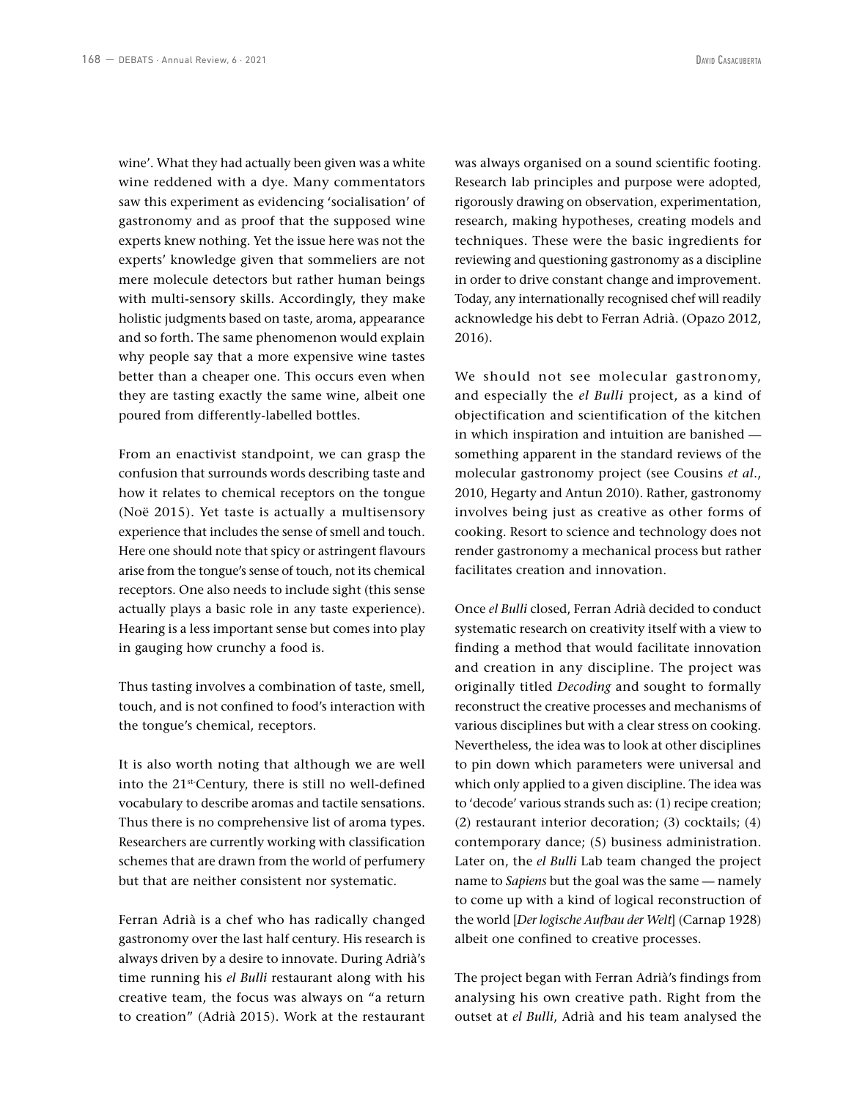wine'. What they had actually been given was a white wine reddened with a dye. Many commentators saw this experiment as evidencing 'socialisation' of gastronomy and as proof that the supposed wine experts knew nothing. Yet the issue here was not the experts' knowledge given that sommeliers are not mere molecule detectors but rather human beings with multi-sensory skills. Accordingly, they make holistic judgments based on taste, aroma, appearance and so forth. The same phenomenon would explain why people say that a more expensive wine tastes better than a cheaper one. This occurs even when they are tasting exactly the same wine, albeit one poured from differently-labelled bottles.

From an enactivist standpoint, we can grasp the confusion that surrounds words describing taste and how it relates to chemical receptors on the tongue (Noë 2015). Yet taste is actually a multisensory experience that includes the sense of smell and touch. Here one should note that spicy or astringent flavours arise from the tongue's sense of touch, not its chemical receptors. One also needs to include sight (this sense actually plays a basic role in any taste experience). Hearing is a less important sense but comes into play in gauging how crunchy a food is.

Thus tasting involves a combination of taste, smell, touch, and is not confined to food's interaction with the tongue's chemical, receptors.

It is also worth noting that although we are well into the 21st-Century, there is still no well-defined vocabulary to describe aromas and tactile sensations. Thus there is no comprehensive list of aroma types. Researchers are currently working with classification schemes that are drawn from the world of perfumery but that are neither consistent nor systematic.

Ferran Adrià is a chef who has radically changed gastronomy over the last half century. His research is always driven by a desire to innovate. During Adrià's time running his *el Bulli* restaurant along with his creative team, the focus was always on "a return to creation" (Adrià 2015). Work at the restaurant was always organised on a sound scientific footing. Research lab principles and purpose were adopted, rigorously drawing on observation, experimentation, research, making hypotheses, creating models and techniques. These were the basic ingredients for reviewing and questioning gastronomy as a discipline in order to drive constant change and improvement. Today, any internationally recognised chef will readily acknowledge his debt to Ferran Adrià. (Opazo 2012, 2016).

We should not see molecular gastronomy, and especially the *el Bulli* project, as a kind of objectification and scientification of the kitchen in which inspiration and intuition are banished something apparent in the standard reviews of the molecular gastronomy project (see Cousins *et al*., 2010, Hegarty and Antun 2010). Rather, gastronomy involves being just as creative as other forms of cooking. Resort to science and technology does not render gastronomy a mechanical process but rather facilitates creation and innovation.

Once *el Bulli* closed, Ferran Adrià decided to conduct systematic research on creativity itself with a view to finding a method that would facilitate innovation and creation in any discipline. The project was originally titled *Decoding* and sought to formally reconstruct the creative processes and mechanisms of various disciplines but with a clear stress on cooking. Nevertheless, the idea was to look at other disciplines to pin down which parameters were universal and which only applied to a given discipline. The idea was to 'decode' various strands such as: (1) recipe creation; (2) restaurant interior decoration; (3) cocktails; (4) contemporary dance; (5) business administration. Later on, the *el Bulli* Lab team changed the project name to *Sapiens* but the goal was the same — namely to come up with a kind of logical reconstruction of the world [*Der logische Aufbau der Welt*] (Carnap 1928) albeit one confined to creative processes.

The project began with Ferran Adrià's findings from analysing his own creative path. Right from the outset at *el Bulli*, Adrià and his team analysed the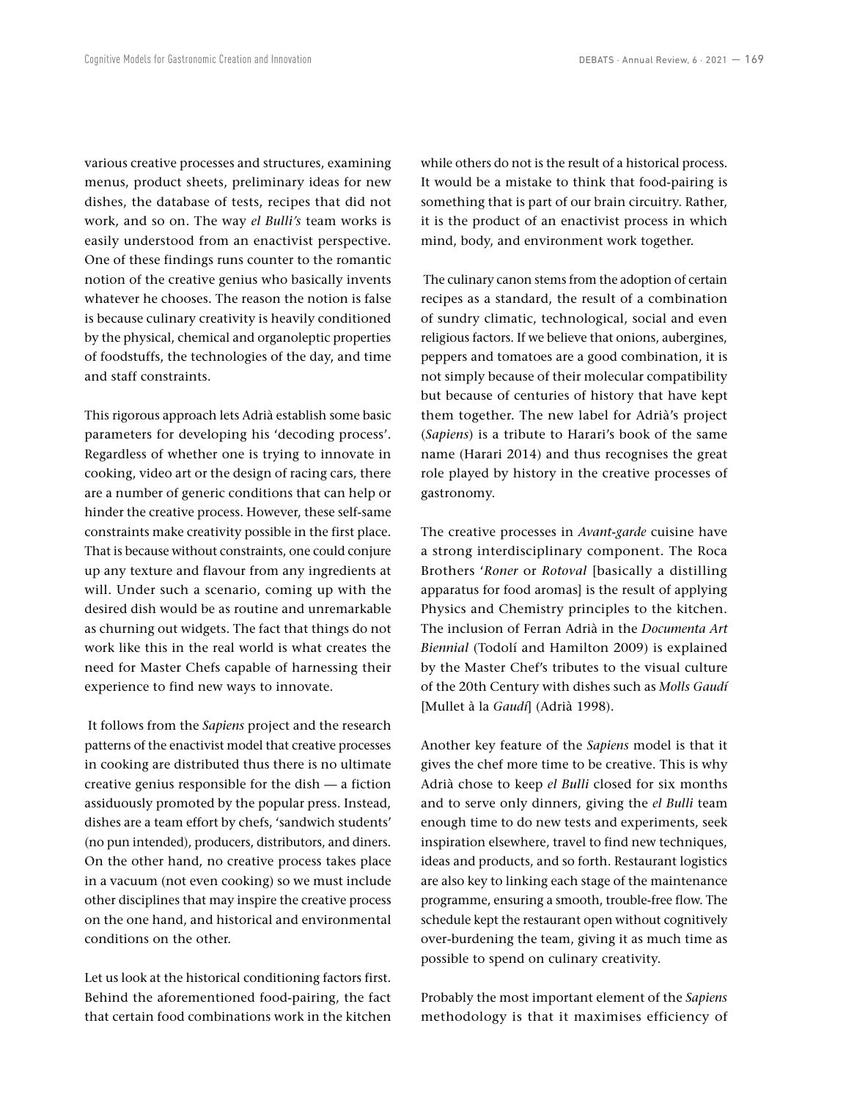various creative processes and structures, examining menus, product sheets, preliminary ideas for new dishes, the database of tests, recipes that did not work, and so on. The way *el Bulli's* team works is easily understood from an enactivist perspective. One of these findings runs counter to the romantic notion of the creative genius who basically invents whatever he chooses. The reason the notion is false is because culinary creativity is heavily conditioned by the physical, chemical and organoleptic properties of foodstuffs, the technologies of the day, and time and staff constraints.

This rigorous approach lets Adrià establish some basic parameters for developing his 'decoding process'. Regardless of whether one is trying to innovate in cooking, video art or the design of racing cars, there are a number of generic conditions that can help or hinder the creative process. However, these self-same constraints make creativity possible in the first place. That is because without constraints, one could conjure up any texture and flavour from any ingredients at will. Under such a scenario, coming up with the desired dish would be as routine and unremarkable as churning out widgets. The fact that things do not work like this in the real world is what creates the need for Master Chefs capable of harnessing their experience to find new ways to innovate.

 It follows from the *Sapiens* project and the research patterns of the enactivist model that creative processes in cooking are distributed thus there is no ultimate creative genius responsible for the dish — a fiction assiduously promoted by the popular press. Instead, dishes are a team effort by chefs, 'sandwich students' (no pun intended), producers, distributors, and diners. On the other hand, no creative process takes place in a vacuum (not even cooking) so we must include other disciplines that may inspire the creative process on the one hand, and historical and environmental conditions on the other.

Let us look at the historical conditioning factors first. Behind the aforementioned food-pairing, the fact that certain food combinations work in the kitchen while others do not is the result of a historical process. It would be a mistake to think that food-pairing is something that is part of our brain circuitry. Rather, it is the product of an enactivist process in which mind, body, and environment work together.

 The culinary canon stems from the adoption of certain recipes as a standard, the result of a combination of sundry climatic, technological, social and even religious factors. If we believe that onions, aubergines, peppers and tomatoes are a good combination, it is not simply because of their molecular compatibility but because of centuries of history that have kept them together. The new label for Adrià's project (*Sapiens*) is a tribute to Harari's book of the same name (Harari 2014) and thus recognises the great role played by history in the creative processes of gastronomy.

The creative processes in *Avant-garde* cuisine have a strong interdisciplinary component. The Roca Brothers '*Roner* or *Rotoval* [basically a distilling apparatus for food aromas] is the result of applying Physics and Chemistry principles to the kitchen. The inclusion of Ferran Adrià in the *Documenta Art Biennial* (Todolí and Hamilton 2009) is explained by the Master Chef's tributes to the visual culture of the 20th Century with dishes such as *Molls Gaudí* [Mullet à la *Gaudí*] (Adrià 1998).

Another key feature of the *Sapiens* model is that it gives the chef more time to be creative. This is why Adrià chose to keep *el Bulli* closed for six months and to serve only dinners, giving the *el Bulli* team enough time to do new tests and experiments, seek inspiration elsewhere, travel to find new techniques, ideas and products, and so forth. Restaurant logistics are also key to linking each stage of the maintenance programme, ensuring a smooth, trouble-free flow. The schedule kept the restaurant open without cognitively over-burdening the team, giving it as much time as possible to spend on culinary creativity.

Probably the most important element of the *Sapiens* methodology is that it maximises efficiency of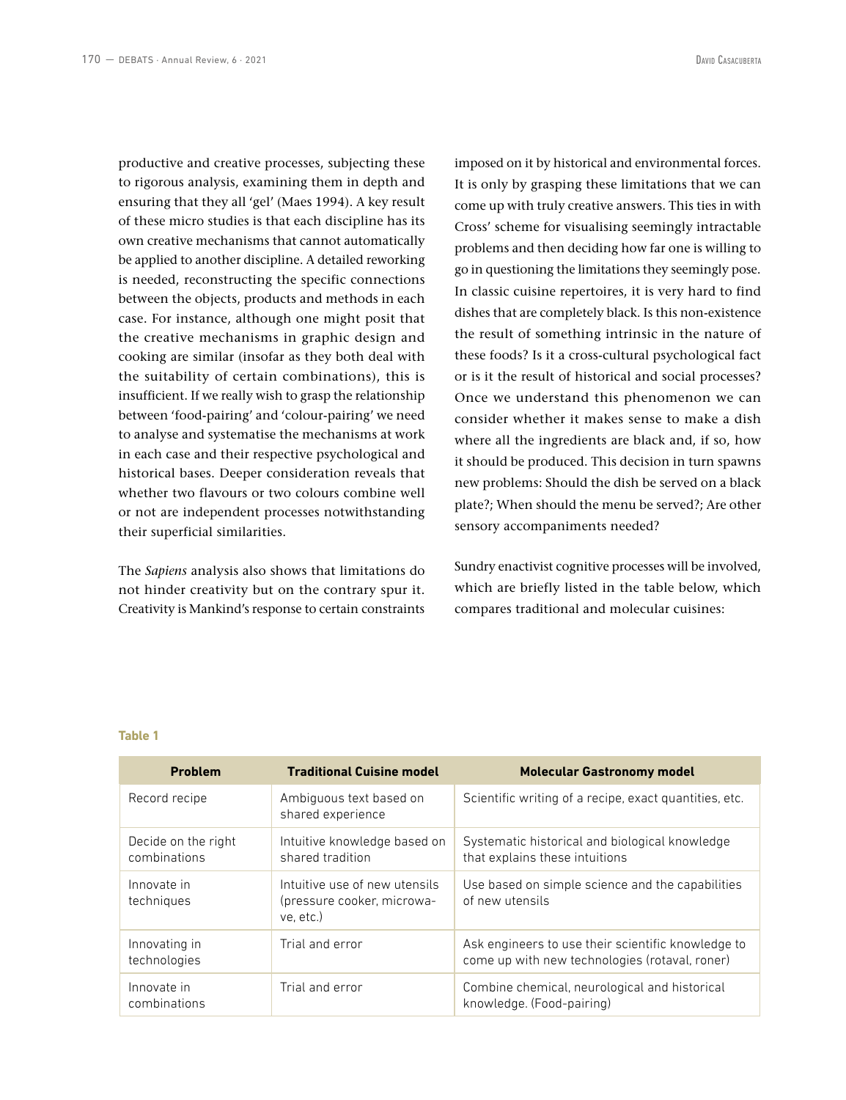productive and creative processes, subjecting these to rigorous analysis, examining them in depth and ensuring that they all 'gel' (Maes 1994). A key result of these micro studies is that each discipline has its own creative mechanisms that cannot automatically be applied to another discipline. A detailed reworking is needed, reconstructing the specific connections between the objects, products and methods in each case. For instance, although one might posit that the creative mechanisms in graphic design and cooking are similar (insofar as they both deal with the suitability of certain combinations), this is insufficient. If we really wish to grasp the relationship between 'food-pairing' and 'colour-pairing' we need to analyse and systematise the mechanisms at work in each case and their respective psychological and historical bases. Deeper consideration reveals that whether two flavours or two colours combine well or not are independent processes notwithstanding their superficial similarities.

The *Sapiens* analysis also shows that limitations do not hinder creativity but on the contrary spur it. Creativity is Mankind's response to certain constraints

imposed on it by historical and environmental forces. It is only by grasping these limitations that we can come up with truly creative answers. This ties in with Cross' scheme for visualising seemingly intractable problems and then deciding how far one is willing to go in questioning the limitations they seemingly pose. In classic cuisine repertoires, it is very hard to find dishes that are completely black. Is this non-existence the result of something intrinsic in the nature of these foods? Is it a cross-cultural psychological fact or is it the result of historical and social processes? Once we understand this phenomenon we can consider whether it makes sense to make a dish where all the ingredients are black and, if so, how it should be produced. This decision in turn spawns new problems: Should the dish be served on a black plate?; When should the menu be served?; Are other sensory accompaniments needed?

Sundry enactivist cognitive processes will be involved, which are briefly listed in the table below, which compares traditional and molecular cuisines:

### **Table 1**

| <b>Problem</b>                      | <b>Traditional Cuisine model</b>                                         | <b>Molecular Gastronomy model</b>                                                                    |
|-------------------------------------|--------------------------------------------------------------------------|------------------------------------------------------------------------------------------------------|
| Record recipe                       | Ambiguous text based on<br>shared experience                             | Scientific writing of a recipe, exact quantities, etc.                                               |
| Decide on the right<br>combinations | Intuitive knowledge based on<br>shared tradition                         | Systematic historical and biological knowledge<br>that explains these intuitions                     |
| Innovate in<br>techniques           | Intuitive use of new utensils<br>(pressure cooker, microwa-<br>ve. etc.) | Use based on simple science and the capabilities<br>of new utensils                                  |
| Innovating in<br>technologies       | Trial and error                                                          | Ask engineers to use their scientific knowledge to<br>come up with new technologies (rotaval, roner) |
| Innovate in<br>combinations         | Trial and error                                                          | Combine chemical, neurological and historical<br>knowledge. (Food-pairing)                           |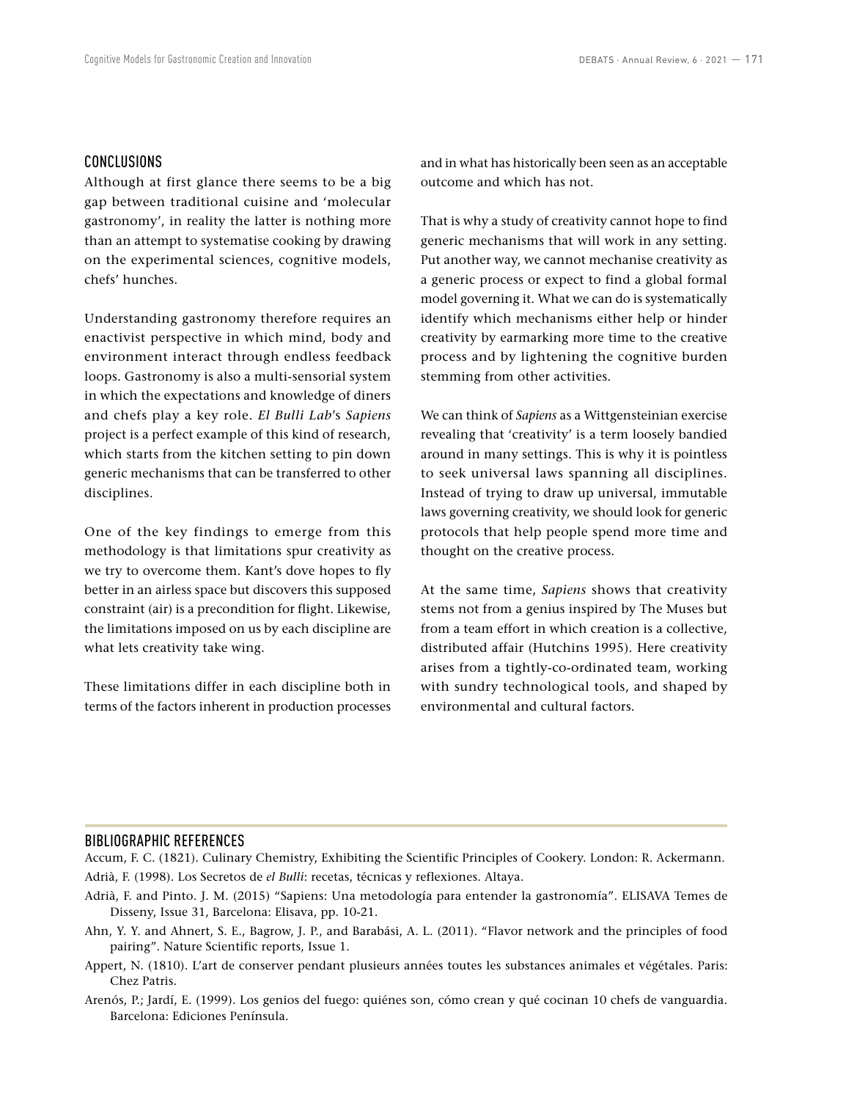### CONCLUSIONS

Although at first glance there seems to be a big gap between traditional cuisine and 'molecular gastronomy', in reality the latter is nothing more than an attempt to systematise cooking by drawing on the experimental sciences, cognitive models, chefs' hunches.

Understanding gastronomy therefore requires an enactivist perspective in which mind, body and environment interact through endless feedback loops. Gastronomy is also a multi-sensorial system in which the expectations and knowledge of diners and chefs play a key role. *El Bulli Lab*'s *Sapiens*  project is a perfect example of this kind of research, which starts from the kitchen setting to pin down generic mechanisms that can be transferred to other disciplines.

One of the key findings to emerge from this methodology is that limitations spur creativity as we try to overcome them. Kant's dove hopes to fly better in an airless space but discovers this supposed constraint (air) is a precondition for flight. Likewise, the limitations imposed on us by each discipline are what lets creativity take wing.

These limitations differ in each discipline both in terms of the factors inherent in production processes

and in what has historically been seen as an acceptable outcome and which has not.

That is why a study of creativity cannot hope to find generic mechanisms that will work in any setting. Put another way, we cannot mechanise creativity as a generic process or expect to find a global formal model governing it. What we can do is systematically identify which mechanisms either help or hinder creativity by earmarking more time to the creative process and by lightening the cognitive burden stemming from other activities.

We can think of *Sapiens* as a Wittgensteinian exercise revealing that 'creativity' is a term loosely bandied around in many settings. This is why it is pointless to seek universal laws spanning all disciplines. Instead of trying to draw up universal, immutable laws governing creativity, we should look for generic protocols that help people spend more time and thought on the creative process.

At the same time, *Sapiens* shows that creativity stems not from a genius inspired by The Muses but from a team effort in which creation is a collective, distributed affair (Hutchins 1995). Here creativity arises from a tightly-co-ordinated team, working with sundry technological tools, and shaped by environmental and cultural factors.

### BIBLIOGRAPHIC REFERENCES

Accum, F. C. (1821). Culinary Chemistry, Exhibiting the Scientific Principles of Cookery. London: R. Ackermann. Adrià, F. (1998). Los Secretos de *el Bulli*: recetas, técnicas y reflexiones. Altaya.

- Adrià, F. and Pinto. J. M. (2015) "Sapiens: Una metodología para entender la gastronomía". ELISAVA Temes de Disseny, Issue 31, Barcelona: Elisava, pp. 10-21.
- Ahn, Y. Y. and Ahnert, S. E., Bagrow, J. P., and Barabási, A. L. (2011). "Flavor network and the principles of food pairing". Nature Scientific reports, Issue 1.
- Appert, N. (1810). L'art de conserver pendant plusieurs années toutes les substances animales et végétales. Paris: Chez Patris.
- Arenós, P.; Jardí, E. (1999). Los genios del fuego: quiénes son, cómo crean y qué cocinan 10 chefs de vanguardia. Barcelona: Ediciones Península.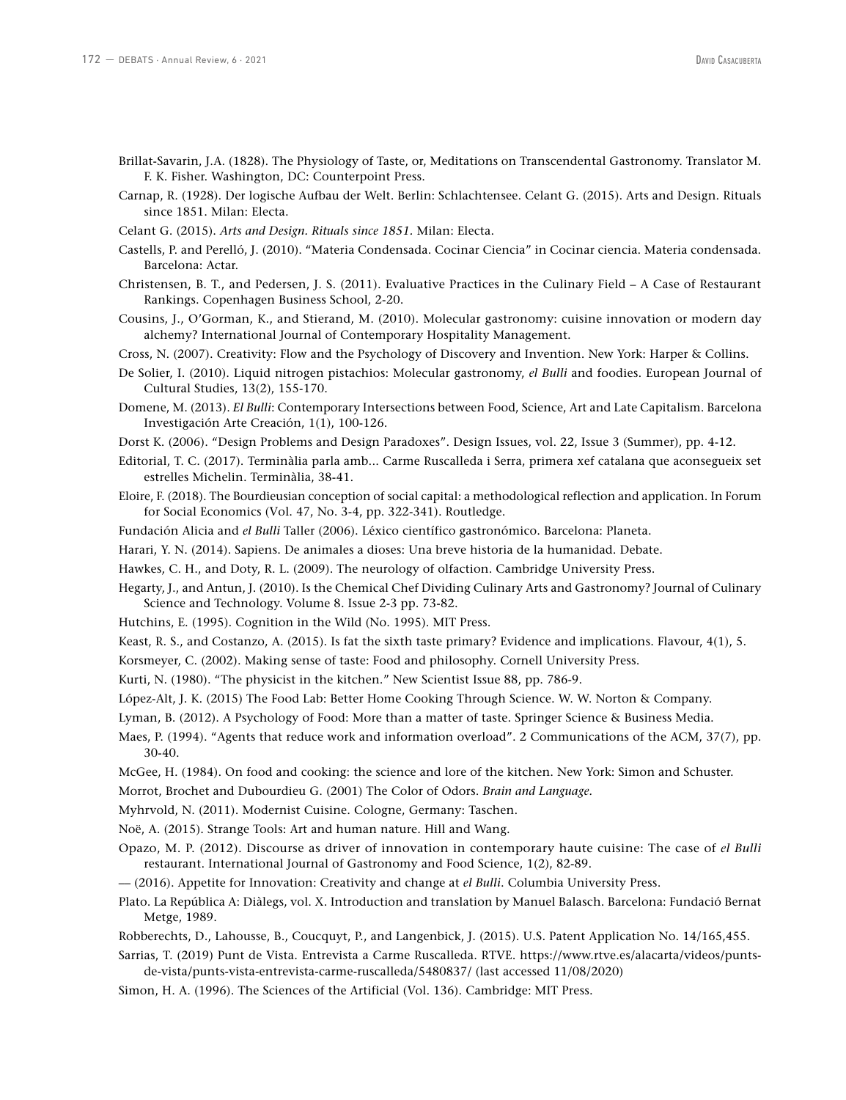- Brillat-Savarin, J.A. (1828). The Physiology of Taste, or, Meditations on Transcendental Gastronomy. Translator M. F. K. Fisher. Washington, DC: Counterpoint Press.
- Carnap, R. (1928). Der logische Aufbau der Welt. Berlin: Schlachtensee. Celant G. (2015). Arts and Design. Rituals since 1851. Milan: Electa.
- Celant G. (2015). *Arts and Design. Rituals since 1851.* Milan: Electa.
- Castells, P. and Perelló, J. (2010). "Materia Condensada. Cocinar Ciencia" in Cocinar ciencia. Materia condensada. Barcelona: Actar.
- Christensen, B. T., and Pedersen, J. S. (2011). Evaluative Practices in the Culinary Field A Case of Restaurant Rankings. Copenhagen Business School, 2-20.
- Cousins, J., O'Gorman, K., and Stierand, M. (2010). Molecular gastronomy: cuisine innovation or modern day alchemy? International Journal of Contemporary Hospitality Management.
- Cross, N. (2007). Creativity: Flow and the Psychology of Discovery and Invention. New York: Harper & Collins.
- De Solier, I. (2010). Liquid nitrogen pistachios: Molecular gastronomy, *el Bulli* and foodies. European Journal of Cultural Studies, 13(2), 155-170.
- Domene, M. (2013). *El Bulli*: Contemporary Intersections between Food, Science, Art and Late Capitalism. Barcelona Investigación Arte Creación, 1(1), 100-126.
- Dorst K. (2006). "Design Problems and Design Paradoxes". Design Issues, vol. 22, Issue 3 (Summer), pp. 4-12.
- Editorial, T. C. (2017). Terminàlia parla amb... Carme Ruscalleda i Serra, primera xef catalana que aconsegueix set estrelles Michelin. Terminàlia, 38-41.
- Eloire, F. (2018). The Bourdieusian conception of social capital: a methodological reflection and application. In Forum for Social Economics (Vol. 47, No. 3-4, pp. 322-341). Routledge.
- Fundación Alicia and *el Bulli* Taller (2006). Léxico científico gastronómico. Barcelona: Planeta.
- Harari, Y. N. (2014). Sapiens. De animales a dioses: Una breve historia de la humanidad. Debate.
- Hawkes, C. H., and Doty, R. L. (2009). The neurology of olfaction. Cambridge University Press.
- Hegarty, J., and Antun, J. (2010). Is the Chemical Chef Dividing Culinary Arts and Gastronomy? Journal of Culinary Science and Technology. Volume 8. Issue 2-3 pp. 73-82.
- Hutchins, E. (1995). Cognition in the Wild (No. 1995). MIT Press.
- Keast, R. S., and Costanzo, A. (2015). Is fat the sixth taste primary? Evidence and implications. Flavour, 4(1), 5.
- Korsmeyer, C. (2002). Making sense of taste: Food and philosophy. Cornell University Press.
- Kurti, N. (1980). "The physicist in the kitchen." New Scientist Issue 88, pp. 786-9.
- López-Alt, J. K. (2015) The Food Lab: Better Home Cooking Through Science. W. W. Norton & Company.
- Lyman, B. (2012). A Psychology of Food: More than a matter of taste. Springer Science & Business Media.
- Maes, P. (1994). "Agents that reduce work and information overload". 2 Communications of the ACM, 37(7), pp. 30-40.
- McGee, H. (1984). On food and cooking: the science and lore of the kitchen. New York: Simon and Schuster.
- Morrot, Brochet and Dubourdieu G. (2001) The Color of Odors. *Brain and Language.*
- Myhrvold, N. (2011). Modernist Cuisine. Cologne, Germany: Taschen.
- Noë, A. (2015). Strange Tools: Art and human nature. Hill and Wang.
- Opazo, M. P. (2012). Discourse as driver of innovation in contemporary haute cuisine: The case of *el Bulli* restaurant. International Journal of Gastronomy and Food Science, 1(2), 82-89.
- –– (2016). Appetite for Innovation: Creativity and change at *el Bulli*. Columbia University Press.
- Plato. La República A: Diàlegs, vol. X. Introduction and translation by Manuel Balasch. Barcelona: Fundació Bernat Metge, 1989.
- Robberechts, D., Lahousse, B., Coucquyt, P., and Langenbick, J. (2015). U.S. Patent Application No. 14/165,455.
- Sarrias, T. (2019) Punt de Vista. Entrevista a Carme Ruscalleda. RTVE. [https://www.rtve.es/alacarta/videos/punts](https://www.rtve.es/alacarta/videos/punts-de-vista/punts-vista-entrevista-carme-ruscalleda/5480837/)[de-vista/punts-vista-entrevista-carme-ruscalleda/5480837/](https://www.rtve.es/alacarta/videos/punts-de-vista/punts-vista-entrevista-carme-ruscalleda/5480837/) (last accessed 11/08/2020)
- Simon, H. A. (1996). The Sciences of the Artificial (Vol. 136). Cambridge: MIT Press.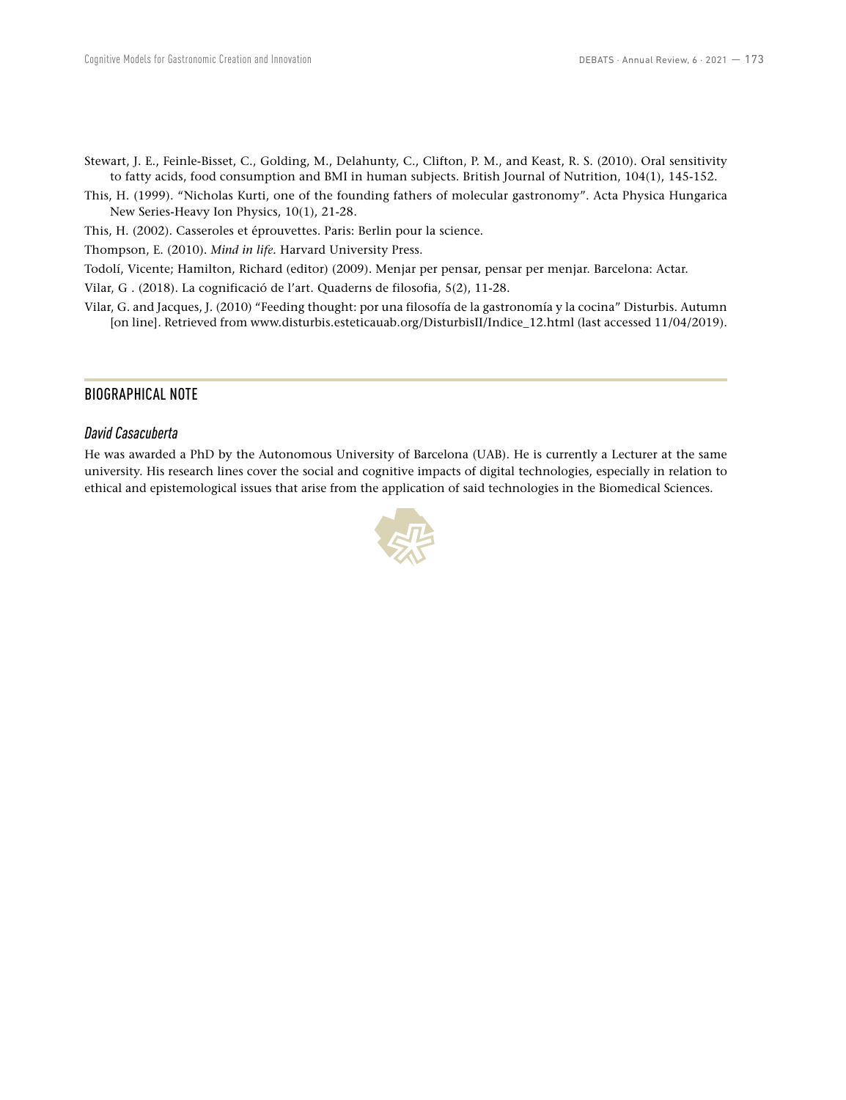- Stewart, J. E., Feinle-Bisset, C., Golding, M., Delahunty, C., Clifton, P. M., and Keast, R. S. (2010). Oral sensitivity to fatty acids, food consumption and BMI in human subjects. British Journal of Nutrition, 104(1), 145-152.
- This, H. (1999). "Nicholas Kurti, one of the founding fathers of molecular gastronomy". Acta Physica Hungarica New Series-Heavy Ion Physics, 10(1), 21-28.
- This, H. (2002). Casseroles et éprouvettes. Paris: Berlin pour la science.

Thompson, E. (2010). *Mind in life.* Harvard University Press.

Todolí, Vicente; Hamilton, Richard (editor) (2009). Menjar per pensar, pensar per menjar. Barcelona: Actar.

Vilar, G . (2018). La cognificació de l'art. Quaderns de filosofia, 5(2), 11-28.

Vilar, G. and Jacques, J. (2010) "Feeding thought: por una filosofía de la gastronomía y la cocina" Disturbis. Autumn [on line]. Retrieved from www.disturbis.esteticauab.org/DisturbisII/Indice\_12.html (last accessed 11/04/2019).

# BIOGRAPHICAL NOTE

## *David Casacuberta*

He was awarded a PhD by the Autonomous University of Barcelona (UAB). He is currently a Lecturer at the same university. His research lines cover the social and cognitive impacts of digital technologies, especially in relation to ethical and epistemological issues that arise from the application of said technologies in the Biomedical Sciences.